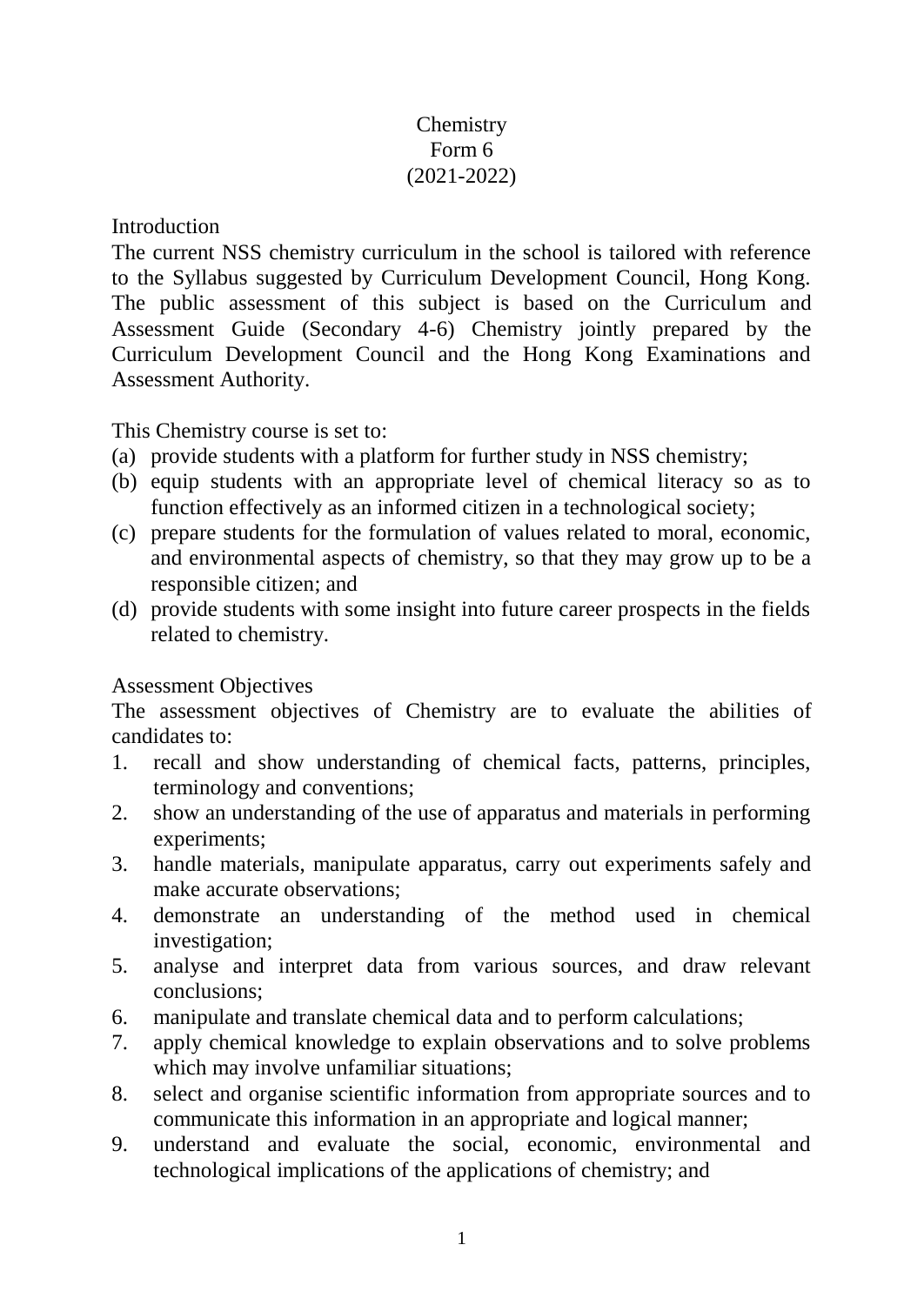# **Chemistry** Form 6 (2021-2022)

Introduction

The current NSS chemistry curriculum in the school is tailored with reference to the Syllabus suggested by Curriculum Development Council, Hong Kong. The public assessment of this subject is based on the Curriculum and Assessment Guide (Secondary 4-6) Chemistry jointly prepared by the Curriculum Development Council and the Hong Kong Examinations and Assessment Authority.

This Chemistry course is set to:

- (a) provide students with a platform for further study in NSS chemistry;
- (b) equip students with an appropriate level of chemical literacy so as to function effectively as an informed citizen in a technological society;
- (c) prepare students for the formulation of values related to moral, economic, and environmental aspects of chemistry, so that they may grow up to be a responsible citizen; and
- (d) provide students with some insight into future career prospects in the fields related to chemistry.

# Assessment Objectives

The assessment objectives of Chemistry are to evaluate the abilities of candidates to:

- 1. recall and show understanding of chemical facts, patterns, principles, terminology and conventions;
- 2. show an understanding of the use of apparatus and materials in performing experiments;
- 3. handle materials, manipulate apparatus, carry out experiments safely and make accurate observations;
- 4. demonstrate an understanding of the method used in chemical investigation;
- 5. analyse and interpret data from various sources, and draw relevant conclusions;
- 6. manipulate and translate chemical data and to perform calculations;
- 7. apply chemical knowledge to explain observations and to solve problems which may involve unfamiliar situations;
- 8. select and organise scientific information from appropriate sources and to communicate this information in an appropriate and logical manner;
- 9. understand and evaluate the social, economic, environmental and technological implications of the applications of chemistry; and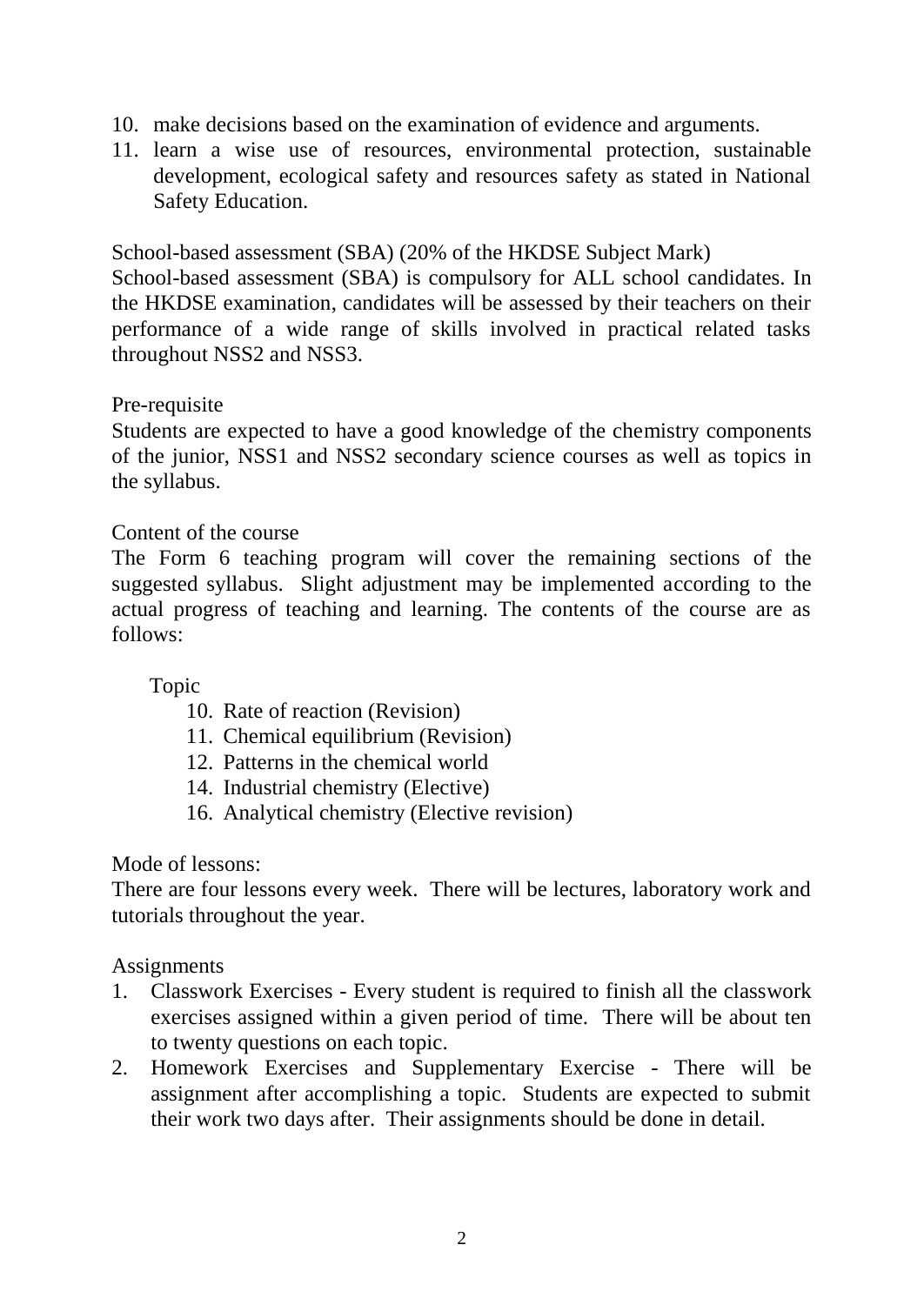- 10. make decisions based on the examination of evidence and arguments.
- 11. learn a wise use of resources, environmental protection, sustainable development, ecological safety and resources safety as stated in National Safety Education.

School-based assessment (SBA) (20% of the HKDSE Subject Mark)

School-based assessment (SBA) is compulsory for ALL school candidates. In the HKDSE examination, candidates will be assessed by their teachers on their performance of a wide range of skills involved in practical related tasks throughout NSS2 and NSS3.

### Pre-requisite

Students are expected to have a good knowledge of the chemistry components of the junior, NSS1 and NSS2 secondary science courses as well as topics in the syllabus.

### Content of the course

The Form 6 teaching program will cover the remaining sections of the suggested syllabus. Slight adjustment may be implemented according to the actual progress of teaching and learning. The contents of the course are as follows:

### Topic

- 10. Rate of reaction (Revision)
- 11. Chemical equilibrium (Revision)
- 12. Patterns in the chemical world
- 14. Industrial chemistry (Elective)
- 16. Analytical chemistry (Elective revision)

### Mode of lessons:

There are four lessons every week. There will be lectures, laboratory work and tutorials throughout the year.

### Assignments

- 1. Classwork Exercises Every student is required to finish all the classwork exercises assigned within a given period of time. There will be about ten to twenty questions on each topic.
- 2. Homework Exercises and Supplementary Exercise There will be assignment after accomplishing a topic. Students are expected to submit their work two days after. Their assignments should be done in detail.